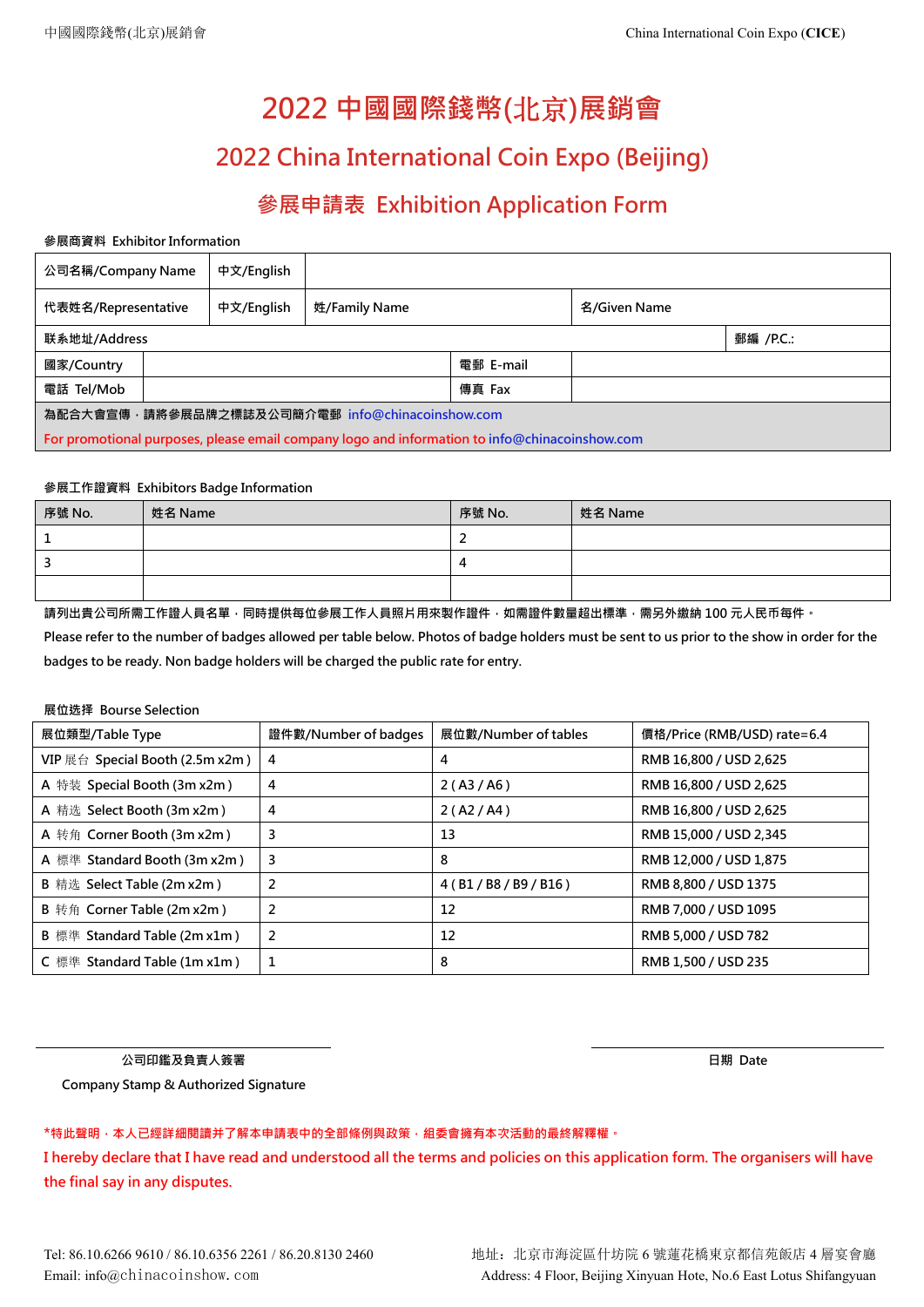# **2022 中國國際錢幣(**北京**)展銷會**

# **2022 China International Coin Expo (Beijing)**

## **參展申請表 Exhibition Application Form**

#### **參展商資料 Exhibitor Information**

| 公司名稱/Company Name                               |  | 中文/English |                                                                                               |           |              |           |  |  |
|-------------------------------------------------|--|------------|-----------------------------------------------------------------------------------------------|-----------|--------------|-----------|--|--|
| 代表姓名/Representative                             |  | 中文/English | 姓/Family Name                                                                                 |           | 名/Given Name |           |  |  |
| 联系地址/Address                                    |  |            |                                                                                               |           |              | 郵編 /P.C.: |  |  |
| 國家/Country                                      |  |            |                                                                                               | 電郵 E-mail |              |           |  |  |
| 電話 Tel/Mob                                      |  |            |                                                                                               | 傳真 Fax    |              |           |  |  |
| 為配合大會宣傳,請將參展品牌之標誌及公司簡介電郵 info@chinacoinshow.com |  |            |                                                                                               |           |              |           |  |  |
|                                                 |  |            | For promotional purposes, please email company logo and information to info@chinacoinshow.com |           |              |           |  |  |

#### **參展工作證資料 Exhibitors Badge Information**

| 序號 No. | 姓名 Name | 序號 No. | 姓名 Name |
|--------|---------|--------|---------|
|        |         |        |         |
|        |         | 4      |         |
|        |         |        |         |

**請列出貴公司所需工作證人員名單,同時提供每位參展工作人員照片用來製作證件,如需證件數量超出標準,需另外繳納 100 元人民币每件。**

Please refer to the number of badges allowed per table below. Photos of badge holders must be sent to us prior to the show in order for the **badges to be ready. Non badge holders will be charged the public rate for entry.**

### **展位选择 Bourse Selection**

| 展位類型/Table Type                   | 證件數/Number of badges | 展位數/Number of tables     | 價格/Price (RMB/USD) rate=6.4 |
|-----------------------------------|----------------------|--------------------------|-----------------------------|
| VIP 展台 Special Booth (2.5m x2m)   | 4                    | 4                        | RMB 16,800 / USD 2,625      |
| A 特装 Special Booth (3m x2m)       | 4                    | 2(A3/A6)                 | RMB 16,800 / USD 2,625      |
| A 精选 Select Booth (3m x2m)        | 4                    | 2(A2/A4)                 | RMB 16,800 / USD 2,625      |
| A 转角 Corner Booth (3m x2m)        | 3                    | 13                       | RMB 15,000 / USD 2,345      |
| A 標準 Standard Booth (3m x2m)      | 3                    | 8                        | RMB 12,000 / USD 1,875      |
| B 精选 Select Table (2m x2m)        |                      | 4 ( B1 / B8 / B9 / B16 ) | RMB 8,800 / USD 1375        |
| <b>B</b> 转角 Corner Table (2m x2m) |                      | 12                       | RMB 7,000 / USD 1095        |
| B 標準 Standard Table (2m x1m)      |                      | 12                       | RMB 5,000 / USD 782         |
| C 標準 Standard Table (1m x1m)      |                      | 8                        | RMB 1,500 / USD 235         |

**公司印鑑及負責人簽署**

**日期 Date**

**Company Stamp & Authorized Signature**

**\*特此聲明,本人已經詳細閱讀并了解本申請表中的全部條例與政策,組委會擁有本次活動的最終解釋權。**

I hereby declare that I have read and understood all the terms and policies on this application form. The organisers will have **the final say in any disputes.**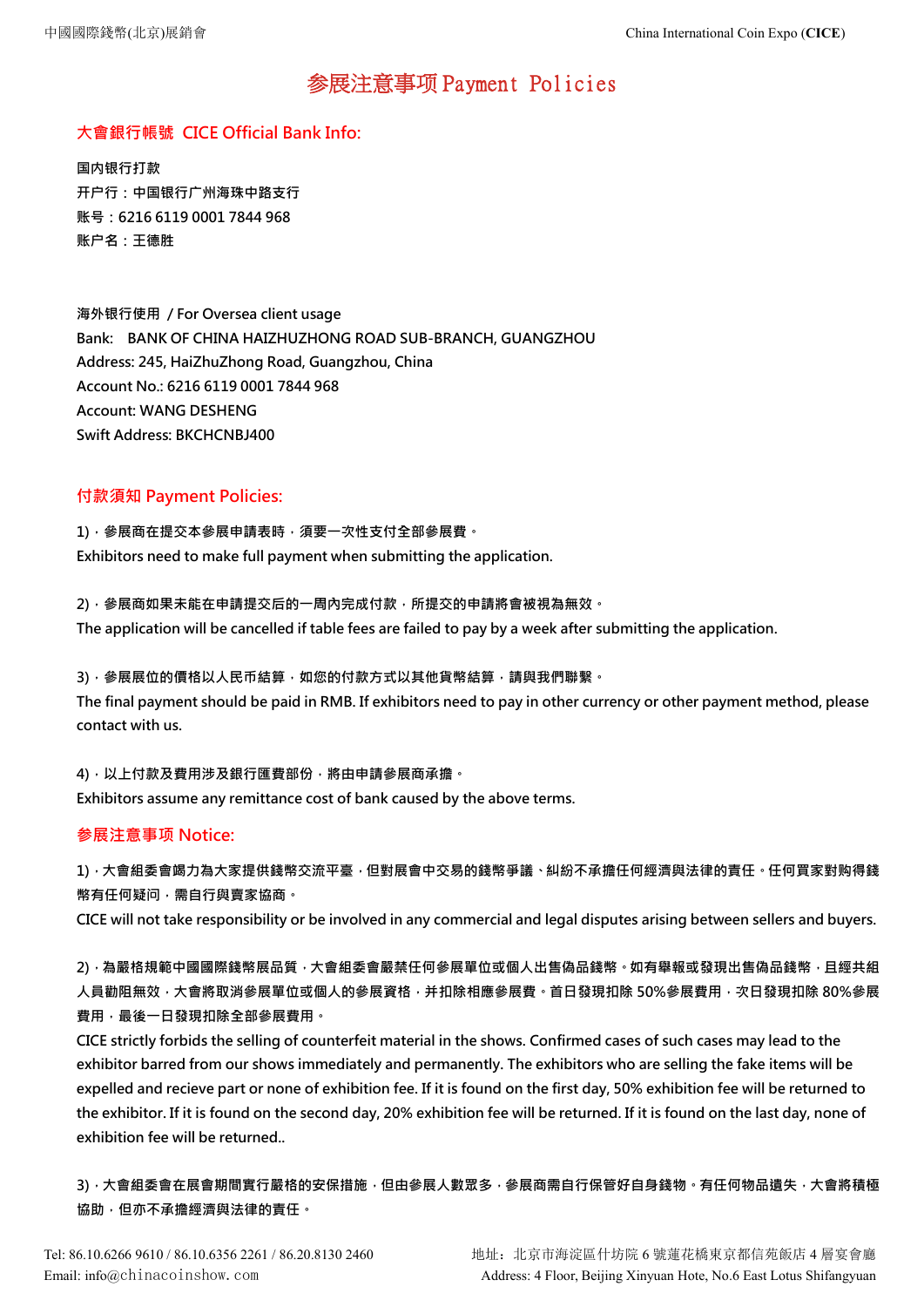## 参展注意事项 Payment Policies

### **大會銀行帳號 CICE Official Bank Info:**

**国内银行打款 开户行:中国银行广州海珠中路支行 账号:6216 6119 0001 7844 968 账户名:王德胜**

**海外银行使用 / For Oversea client usage Bank: BANK OF CHINA HAIZHUZHONG ROAD SUB-BRANCH, GUANGZHOU Address: 245, HaiZhuZhong Road, Guangzhou, China Account No.: 6216 6119 0001 7844 968 Account: WANG DESHENG Swift Address: BKCHCNBJ400**

### **付款須知 Payment Policies:**

**1),參展商在提交本參展申請表時,須要一次性支付全部參展費。 Exhibitors need to make full payment when submitting the application.**

**2),參展商如果未能在申請提交后的一周內完成付款,所提交的申請將會被視為無效。** The application will be cancelled if table fees are failed to pay by a week after submitting the application.

**3),參展展位的價格以人民币結算,如您的付款方式以其他貨幣結算,請與我們聯繫。** The final payment should be paid in RMB. If exhibitors need to pay in other currency or other payment method, please **contact with us.**

**4),以上付款及費用涉及銀行匯費部份,將由申請參展商承擔。 Exhibitors assume any remittance cost of bank caused by the above terms.**

### **参展注意事项 Notice:**

**1),大會組委會竭力為大家提供錢幣交流平臺,但對展會中交易的錢幣爭議、糾紛不承擔任何經濟與法律的責任。任何買家對购得錢 幣有任何疑问,需自行與賣家協商。**

CICE will not take responsibility or be involved in any commercial and legal disputes arising between sellers and buyers.

**2),為嚴格規範中國國際錢幣展品質,大會組委會嚴禁任何參展單位或個人出售偽品錢幣。如有舉報或發現出售偽品錢幣,且經共組 人員勸阻無效,大會將取消參展單位或個人的參展資格,并扣除相應參展費。首日發現扣除 50%參展費用,次日發現扣除 80%參展 費用,最後一日發現扣除全部參展費用。**

CICE strictly forbids the selling of counterfeit material in the shows. Confirmed cases of such cases may lead to the exhibitor barred from our shows immediately and permanently. The exhibitors who are selling the fake items will be expelled and recieve part or none of exhibition fee. If it is found on the first day, 50% exhibition fee will be returned to the exhibitor. If it is found on the second day, 20% exhibition fee will be returned. If it is found on the last day, none of **exhibition fee will be returned..**

3),大會組委會在展會期間實行嚴格的安保措施,但由參展人數眾多,參展商需自行保管好自身錢物。有任何物品遺失,大會將積極 **協助,但亦不承擔經濟與法律的責任。**